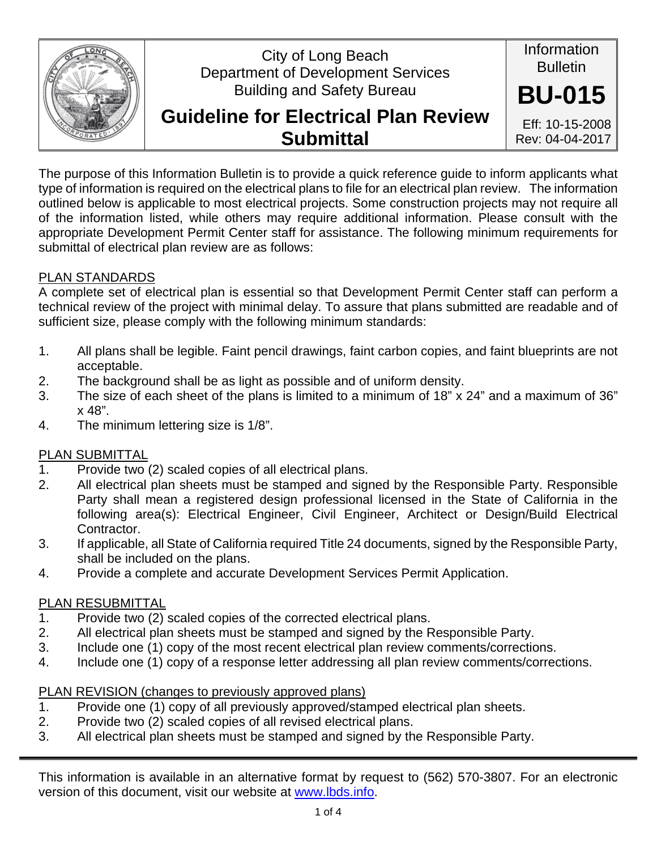

## City of Long Beach Department of Development Services Building and Safety Bureau

# **Guideline for Electrical Plan Review Submittal**

Eff: 10-15-2008 Rev: 04-04-2017

Information Bulletin

**BU-015**

The purpose of this Information Bulletin is to provide a quick reference guide to inform applicants what type of information is required on the electrical plans to file for an electrical plan review. The information outlined below is applicable to most electrical projects. Some construction projects may not require all of the information listed, while others may require additional information. Please consult with the appropriate Development Permit Center staff for assistance. The following minimum requirements for submittal of electrical plan review are as follows:

## PLAN STANDARDS

A complete set of electrical plan is essential so that Development Permit Center staff can perform a technical review of the project with minimal delay. To assure that plans submitted are readable and of sufficient size, please comply with the following minimum standards:

- 1. All plans shall be legible. Faint pencil drawings, faint carbon copies, and faint blueprints are not acceptable.
- 2. The background shall be as light as possible and of uniform density.
- 3. The size of each sheet of the plans is limited to a minimum of 18" x 24" and a maximum of 36" x 48".
- 4. The minimum lettering size is 1/8".

## PLAN SUBMITTAL

- 1. Provide two (2) scaled copies of all electrical plans.
- 2. All electrical plan sheets must be stamped and signed by the Responsible Party. Responsible Party shall mean a registered design professional licensed in the State of California in the following area(s): Electrical Engineer, Civil Engineer, Architect or Design/Build Electrical Contractor.
- 3. If applicable, all State of California required Title 24 documents, signed by the Responsible Party, shall be included on the plans.
- 4. Provide a complete and accurate Development Services Permit Application.

## PLAN RESUBMITTAL

- 1. Provide two (2) scaled copies of the corrected electrical plans.
- 2. All electrical plan sheets must be stamped and signed by the Responsible Party.
- 3. Include one (1) copy of the most recent electrical plan review comments/corrections.
- 4. Include one (1) copy of a response letter addressing all plan review comments/corrections.

## PLAN REVISION (changes to previously approved plans)

- 1. Provide one (1) copy of all previously approved/stamped electrical plan sheets.
- 2. Provide two (2) scaled copies of all revised electrical plans.
- 3. All electrical plan sheets must be stamped and signed by the Responsible Party.

This information is available in an alternative format by request to (562) 570-3807. For an electronic version of this document, visit our website at www.lbds.info.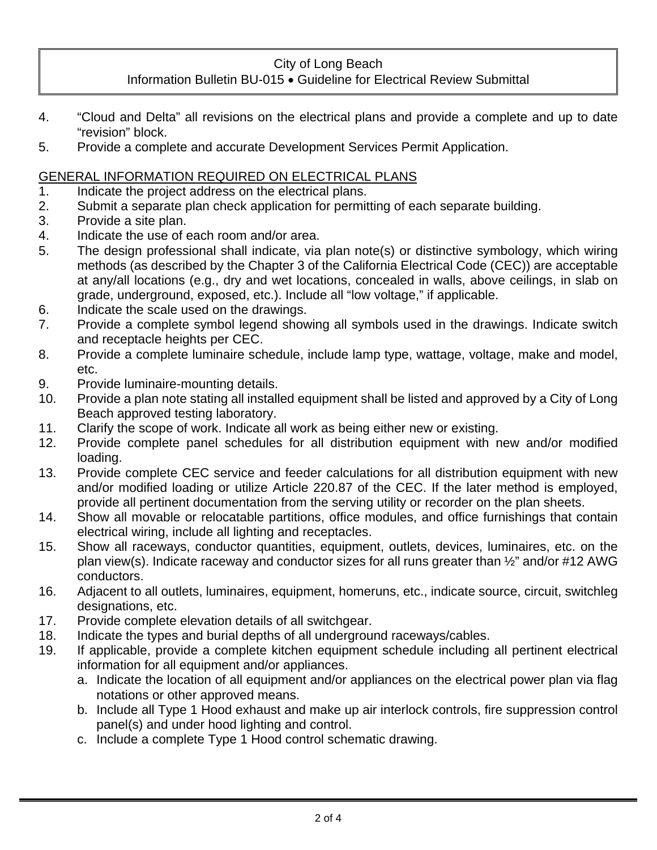#### City of Long Beach

#### Information Bulletin BU-015 . Guideline for Electrical Review Submittal

- 4. "Cloud and Delta" all revisions on the electrical plans and provide a complete and up to date "revision" block.
- 5. Provide a complete and accurate Development Services Permit Application.

#### GENERAL INFORMATION REQUIRED ON ELECTRICAL PLANS

- 1. Indicate the project address on the electrical plans.
- 2. Submit a separate plan check application for permitting of each separate building.
- 3. Provide a site plan.
- 4. Indicate the use of each room and/or area.
- 5. The design professional shall indicate, via plan note(s) or distinctive symbology, which wiring methods (as described by the Chapter 3 of the California Electrical Code (CEC)) are acceptable at any/all locations (e.g., dry and wet locations, concealed in walls, above ceilings, in slab on grade, underground, exposed, etc.). Include all "low voltage," if applicable.
- 6. Indicate the scale used on the drawings.
- 7. Provide a complete symbol legend showing all symbols used in the drawings. Indicate switch and receptacle heights per CEC.
- 8. Provide a complete luminaire schedule, include lamp type, wattage, voltage, make and model, etc.
- 9. Provide luminaire-mounting details.
- 10. Provide a plan note stating all installed equipment shall be listed and approved by a City of Long Beach approved testing laboratory.
- 11. Clarify the scope of work. Indicate all work as being either new or existing.
- 12. Provide complete panel schedules for all distribution equipment with new and/or modified loading.
- 13. Provide complete CEC service and feeder calculations for all distribution equipment with new and/or modified loading or utilize Article 220.87 of the CEC. If the later method is employed, provide all pertinent documentation from the serving utility or recorder on the plan sheets.
- 14. Show all movable or relocatable partitions, office modules, and office furnishings that contain electrical wiring, include all lighting and receptacles.
- 15. Show all raceways, conductor quantities, equipment, outlets, devices, luminaires, etc. on the plan view(s). Indicate raceway and conductor sizes for all runs greater than ½" and/or #12 AWG conductors.
- 16. Adjacent to all outlets, luminaires, equipment, homeruns, etc., indicate source, circuit, switchleg designations, etc.
- 17. Provide complete elevation details of all switchgear.
- 18. Indicate the types and burial depths of all underground raceways/cables.
- 19. If applicable, provide a complete kitchen equipment schedule including all pertinent electrical information for all equipment and/or appliances.
	- a. Indicate the location of all equipment and/or appliances on the electrical power plan via flag notations or other approved means.
	- b. Include all Type 1 Hood exhaust and make up air interlock controls, fire suppression control panel(s) and under hood lighting and control.
	- c. Include a complete Type 1 Hood control schematic drawing.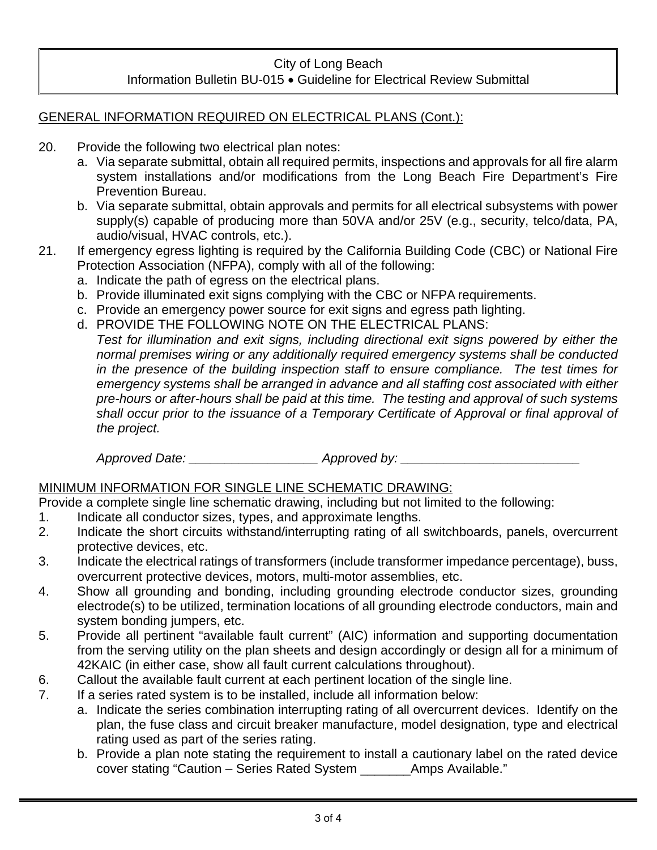#### City of Long Beach Information Bulletin BU-015 . Guideline for Electrical Review Submittal

#### GENERAL INFORMATION REQUIRED ON ELECTRICAL PLANS (Cont.):

- 20. Provide the following two electrical plan notes:
	- a. Via separate submittal, obtain all required permits, inspections and approvals for all fire alarm system installations and/or modifications from the Long Beach Fire Department's Fire Prevention Bureau.
	- b. Via separate submittal, obtain approvals and permits for all electrical subsystems with power supply(s) capable of producing more than 50VA and/or 25V (e.g., security, telco/data, PA, audio/visual, HVAC controls, etc.).
- 21. If emergency egress lighting is required by the California Building Code (CBC) or National Fire Protection Association (NFPA), comply with all of the following:
	- a. Indicate the path of egress on the electrical plans.
	- b. Provide illuminated exit signs complying with the CBC or NFPA requirements.
	- c. Provide an emergency power source for exit signs and egress path lighting.
	- d. PROVIDE THE FOLLOWING NOTE ON THE ELECTRICAL PLANS:

*Test for illumination and exit signs, including directional exit signs powered by either the normal premises wiring or any additionally required emergency systems shall be conducted in the presence of the building inspection staff to ensure compliance. The test times for emergency systems shall be arranged in advance and all staffing cost associated with either pre-hours or after-hours shall be paid at this time. The testing and approval of such systems shall occur prior to the issuance of a Temporary Certificate of Approval or final approval of the project.* 

*Approved Date: \_\_\_\_\_\_\_\_\_\_\_\_\_\_\_\_\_\_ Approved by: \_\_\_\_\_\_\_\_\_\_\_\_\_\_\_\_\_\_\_\_\_\_\_\_\_* 

#### MINIMUM INFORMATION FOR SINGLE LINE SCHEMATIC DRAWING:

Provide a complete single line schematic drawing, including but not limited to the following:

- 1. Indicate all conductor sizes, types, and approximate lengths.
- 2. Indicate the short circuits withstand/interrupting rating of all switchboards, panels, overcurrent protective devices, etc.
- 3. Indicate the electrical ratings of transformers (include transformer impedance percentage), buss, overcurrent protective devices, motors, multi-motor assemblies, etc.
- 4. Show all grounding and bonding, including grounding electrode conductor sizes, grounding electrode(s) to be utilized, termination locations of all grounding electrode conductors, main and system bonding jumpers, etc.
- 5. Provide all pertinent "available fault current" (AIC) information and supporting documentation from the serving utility on the plan sheets and design accordingly or design all for a minimum of 42KAIC (in either case, show all fault current calculations throughout).
- 6. Callout the available fault current at each pertinent location of the single line.
- 7. If a series rated system is to be installed, include all information below:
	- a. Indicate the series combination interrupting rating of all overcurrent devices. Identify on the plan, the fuse class and circuit breaker manufacture, model designation, type and electrical rating used as part of the series rating.
	- b. Provide a plan note stating the requirement to install a cautionary label on the rated device cover stating "Caution – Series Rated System \_\_\_\_\_\_\_Amps Available."